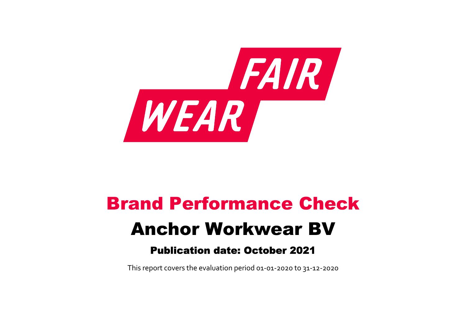

# Brand Performance Check Anchor Workwear BV

## Publication date: October 2021

This report covers the evaluation period 01‐01‐2020 to 31‐12‐2020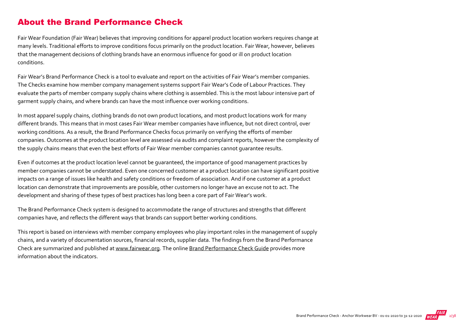#### About the Brand Performance Check

Fair Wear Foundation (Fair Wear) believes that improving conditions for apparel product location workers requires change at many levels. Traditional efforts to improve conditions focus primarily on the product location. Fair Wear, however, believes that the management decisions of clothing brands have an enormous influence for good or ill on product location conditions.

Fair Wear's Brand Performance Check is a tool to evaluate and report on the activities of Fair Wear's member companies. The Checks examine how member company management systems support Fair Wear's Code of Labour Practices. They evaluate the parts of member company supply chains where clothing is assembled. This is the most labour intensive part of garment supply chains, and where brands can have the most influence over working conditions.

In most apparel supply chains, clothing brands do not own product locations, and most product locations work for many different brands. This means that in most cases Fair Wear member companies have influence, but not direct control, over working conditions. As a result, the Brand Performance Checks focus primarily on verifying the efforts of member companies. Outcomes at the product location level are assessed via audits and complaint reports, however the complexity of the supply chains means that even the best efforts of Fair Wear member companies cannot guarantee results.

Even if outcomes at the product location level cannot be guaranteed, the importance of good management practices by member companies cannot be understated. Even one concerned customer at a product location can have significant positive impacts on a range of issues like health and safety conditions or freedom of association. And if one customer at a product location can demonstrate that improvements are possible, other customers no longer have an excuse not to act. The development and sharing of these types of best practices has long been a core part of Fair Wear's work.

The Brand Performance Check system is designed to accommodate the range of structures and strengths that different companies have, and reflects the different ways that brands can support better working conditions.

This report is based on interviews with member company employees who play important roles in the management of supply chains, and a variety of documentation sources, financial records, supplier data. The findings from the Brand Performance Check are summarized and published at [www.fairwear.org](http://www.fairwear.org/). The online [Brand Performance Check Guide](https://api.fairwear.org/wp-content/uploads/2020/03/FWF_BrandPerformanceCheckGuide-DEF.pdf) provides more information about the indicators.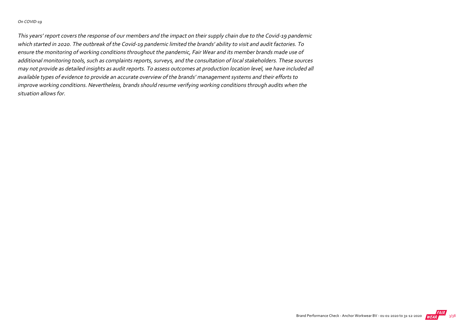#### On COVID‐19

This years' report covers the response of our members and the impact on their supply chain due to the Covid‐19 pandemic which started in 2020. The outbreak of the Covid‐19 pandemic limited the brands' ability to visit and audit factories. To ensure the monitoring of working conditions throughout the pandemic, Fair Wear and its member brands made use of additional monitoring tools, such as complaints reports, surveys, and the consultation of local stakeholders. These sources may not provide as detailed insights as audit reports. To assess outcomes at production location level, we have included all available types of evidence to provide an accurate overview of the brands' management systems and their efforts to improve working conditions. Nevertheless, brands should resume verifying working conditions through audits when the situation allows for.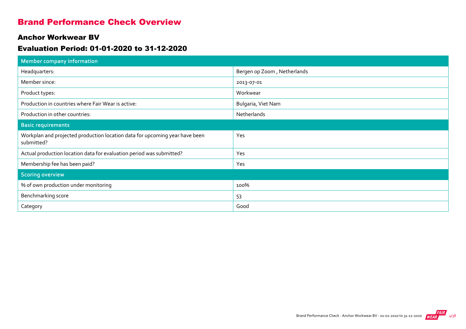#### Brand Performance Check Overview

#### Anchor Workwear BV

#### Evaluation Period: 01-01-2020 to 31-12-2020

| <b>Member company information</b>                                                         |                             |
|-------------------------------------------------------------------------------------------|-----------------------------|
| Headquarters:                                                                             | Bergen op Zoom, Netherlands |
| Member since:                                                                             | 2013-07-01                  |
| Product types:                                                                            | Workwear                    |
| Production in countries where Fair Wear is active:                                        | Bulgaria, Viet Nam          |
| Production in other countries:                                                            | Netherlands                 |
| <b>Basic requirements</b>                                                                 |                             |
| Workplan and projected production location data for upcoming year have been<br>submitted? | Yes                         |
| Actual production location data for evaluation period was submitted?                      | Yes                         |
| Membership fee has been paid?                                                             | Yes                         |
| <b>Scoring overview</b>                                                                   |                             |
| % of own production under monitoring                                                      | 100%                        |
| Benchmarking score                                                                        | 53                          |
| Category                                                                                  | Good                        |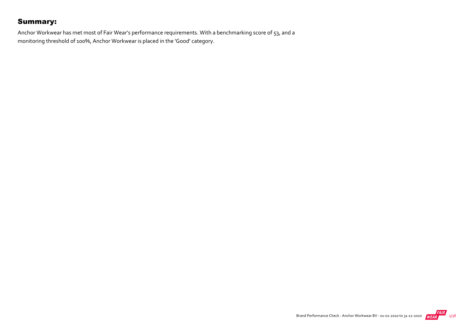#### Summary:

Anchor Workwear has met most of Fair Wear's performance requirements. With a benchmarking score of 53, and a monitoring threshold of 100%, Anchor Workwear is placed in the 'Good' category.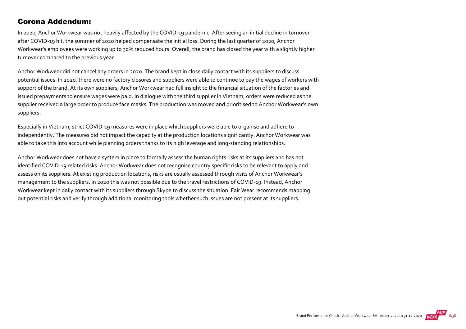#### Corona Addendum:

In 2020, Anchor Workwear was not heavily affected by the COVID‐19 pandemic. After seeing an initial decline in turnover after COVID‐19 hit, the summer of 2020 helped compensate the initial loss. During the last quarter of 2020, Anchor Workwear's employees were working up to 30% reduced hours. Overall, the brand has closed the year with a slightly higher turnover compared to the previous year.

Anchor Workwear did not cancel any orders in 2020. The brand kept in close daily contact with its suppliers to discuss potential issues. In 2020, there were no factory closures and suppliers were able to continue to pay the wages of workers with support of the brand. At its own suppliers, Anchor Workwear had full insight to the financial situation of the factories and issued prepayments to ensure wages were paid. In dialogue with the third supplier in Vietnam, orders were reduced as the supplier received a large order to produce face masks. The production was moved and prioritised to Anchor Workwear's own suppliers.

Especially in Vietnam, strict COVID‐19 measures were in place which suppliers were able to organise and adhere to independently. The measures did not impact the capacity at the production locations significantly. Anchor Workwear was able to take this into account while planning orders thanks to its high leverage and long-standing relationships.

Anchor Workwear does not have a system in place to formally assess the human rights risks at its suppliers and has not identified COVID‐19 related risks. Anchor Workwear does not recognise country specific risks to be relevant to apply and assess on its suppliers. At existing production locations, risks are usually assessed through visits of Anchor Workwear's management to the suppliers. In 2020 this was not possible due to the travel restrictions of COVID‐19. Instead, Anchor Workwear kept in daily contact with its suppliers through Skype to discuss the situation. Fair Wear recommends mapping out potential risks and verify through additional monitoring tools whether such issues are not present at its suppliers.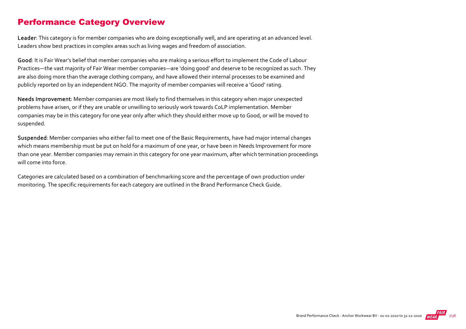#### Performance Category Overview

Leader: This category is for member companies who are doing exceptionally well, and are operating at an advanced level. Leaders show best practices in complex areas such as living wages and freedom of association.

Good: It is Fair Wear's belief that member companies who are making a serious effort to implement the Code of Labour Practices—the vast majority of Fair Wear member companies—are 'doing good' and deserve to be recognized as such. They are also doing more than the average clothing company, and have allowed their internal processes to be examined and publicly reported on by an independent NGO. The majority of member companies will receive a 'Good' rating.

Needs Improvement: Member companies are most likely to find themselves in this category when major unexpected problems have arisen, or if they are unable or unwilling to seriously work towards CoLP implementation. Member companies may be in this category for one year only after which they should either move up to Good, or will be moved to suspended.

Suspended: Member companies who either fail to meet one of the Basic Requirements, have had major internal changes which means membership must be put on hold for a maximum of one year, or have been in Needs Improvement for more than one year. Member companies may remain in this category for one year maximum, after which termination proceedings will come into force.

Categories are calculated based on a combination of benchmarking score and the percentage of own production under monitoring. The specific requirements for each category are outlined in the Brand Performance Check Guide.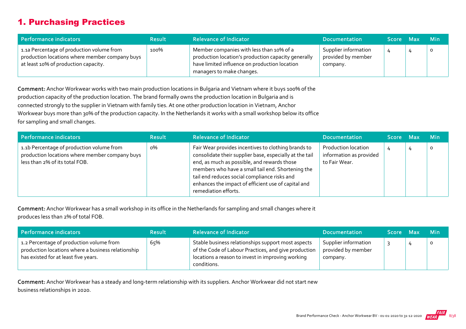#### 1. Purchasing Practices

| Performance indicators                                                                                                              | <b>Result</b> | <b>Relevance of Indicator</b>                                                                                                                                                 | <b>Documentation</b>                                   | Score Max | <b>Min</b> |
|-------------------------------------------------------------------------------------------------------------------------------------|---------------|-------------------------------------------------------------------------------------------------------------------------------------------------------------------------------|--------------------------------------------------------|-----------|------------|
| 1.1a Percentage of production volume from<br>production locations where member company buys<br>at least 10% of production capacity. | 100%          | Member companies with less than 10% of a<br>production location's production capacity generally<br>have limited influence on production location<br>managers to make changes. | Supplier information<br>provided by member<br>company. |           | $\circ$    |

Comment: Anchor Workwear works with two main production locations in Bulgaria and Vietnam where it buys 100% of the production capacity of the production location. The brand formally owns the production location in Bulgaria and is connected strongly to the supplier in Vietnam with family ties. At one other production location in Vietnam, Anchor Workwear buys more than 30% of the production capacity. In the Netherlands it works with a small workshop below its office for sampling and small changes.

| Performance indicators                                                                                                        | <b>Result</b> | <b>Relevance of Indicator</b>                                                                                                                                                                                                                                                                                                                     | Documentation                                                          | Score Max | <b>Min</b> |
|-------------------------------------------------------------------------------------------------------------------------------|---------------|---------------------------------------------------------------------------------------------------------------------------------------------------------------------------------------------------------------------------------------------------------------------------------------------------------------------------------------------------|------------------------------------------------------------------------|-----------|------------|
| 1.1b Percentage of production volume from<br>production locations where member company buys<br>less than 2% of its total FOB. | о%            | Fair Wear provides incentives to clothing brands to<br>consolidate their supplier base, especially at the tail<br>end, as much as possible, and rewards those<br>members who have a small tail end. Shortening the<br>tail end reduces social compliance risks and<br>enhances the impact of efficient use of capital and<br>remediation efforts. | <b>Production location</b><br>information as provided<br>to Fair Wear. |           | O          |

Comment: Anchor Workwear has a small workshop in its office in the Netherlands for sampling and small changes where it produces less than 2% of total FOB.

| Performance indicators                                                                                                                 | <b>Result</b> | <b>Relevance of Indicator</b>                                                                                                                                                  | <b>Documentation</b>                                   | Score Max | <b>Min</b>   |
|----------------------------------------------------------------------------------------------------------------------------------------|---------------|--------------------------------------------------------------------------------------------------------------------------------------------------------------------------------|--------------------------------------------------------|-----------|--------------|
| 1.2 Percentage of production volume from<br>production locations where a business relationship<br>has existed for at least five years. | 65%           | Stable business relationships support most aspects<br>of the Code of Labour Practices, and give production<br>locations a reason to invest in improving working<br>conditions. | Supplier information<br>provided by member<br>company. |           | $\mathbf{o}$ |

Comment: Anchor Workwear has a steady and long-term relationship with its suppliers. Anchor Workwear did not start new business relationships in 2020.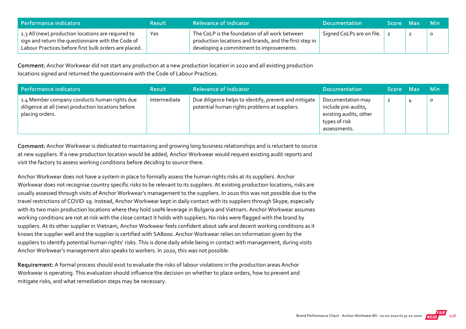| <b>Performance indicators</b>                                                                                                                                     | <b>Result</b> | <b>Relevance of Indicator</b>                                                                                                                        | <b>Documentation</b>      | Score Max | ⊟ Min |
|-------------------------------------------------------------------------------------------------------------------------------------------------------------------|---------------|------------------------------------------------------------------------------------------------------------------------------------------------------|---------------------------|-----------|-------|
| 1.3 All (new) production locations are required to<br>sign and return the questionnaire with the Code of<br>Labour Practices before first bulk orders are placed. | Yes           | The CoLP is the foundation of all work between<br>production locations and brands, and the first step in<br>developing a commitment to improvements. | Signed CoLPs are on file. |           |       |

Comment: Anchor Workwear did not start any production at a new production location in 2020 and all existing production locations signed and returned the questionnaire with the Code of Labour Practices.

| Performance indicators                                                                                                | <b>Result</b> | <b>Relevance of Indicator</b>                                                                          | <b>Documentation</b>                                                                                | Score Max      | <b>Min</b> |
|-----------------------------------------------------------------------------------------------------------------------|---------------|--------------------------------------------------------------------------------------------------------|-----------------------------------------------------------------------------------------------------|----------------|------------|
| 1.4 Member company conducts human rights due<br>diligence at all (new) production locations before<br>placing orders. | Intermediate  | Due diligence helps to identify, prevent and mitigate<br>potential human rights problems at suppliers. | Documentation may<br>include pre-audits,<br>existing audits, other<br>types of risk<br>assessments. | $\overline{2}$ | $\circ$    |

Comment: Anchor Workwear is dedicated to maintaining and growing long business relationships and is reluctant to source at new suppliers. If a new production location would be added, Anchor Workwear would request existing audit reports and visit the factory to assess working conditions before deciding to source there.

Anchor Workwear does not have a system in place to formally assess the human rights risks at its suppliers. Anchor Workwear does not recognise country specific risks to be relevant to its suppliers. At existing production locations, risks are usually assessed through visits of Anchor Workwear's management to the suppliers. In 2020 this was not possible due to the travel restrictions of COVID‐19. Instead, Anchor Workwear kept in daily contact with its suppliers through Skype, especially with its two main production locations where they hold 100% leverage in Bulgaria and Vietnam. Anchor Workwear assumes working conditions are not at risk with the close contact it holds with suppliers. No risks were flagged with the brand by suppliers. At its other supplier in Vietnam, Anchor Workwear feels confident about safe and decent working conditions as it knows the supplier well and the supplier is certified with SA8000. Anchor Workwear relies on information given by the suppliers to identify potential human rights' risks. This is done daily while being in contact with management, during visits Anchor Workwear's management also speaks to workers. In 2020, this was not possible.

Requirement: A formal process should exist to evaluate the risks of labour violations in the production areas Anchor Workwear is operating. This evaluation should influence the decision on whether to place orders, how to prevent and mitigate risks, and what remediation steps may be necessary.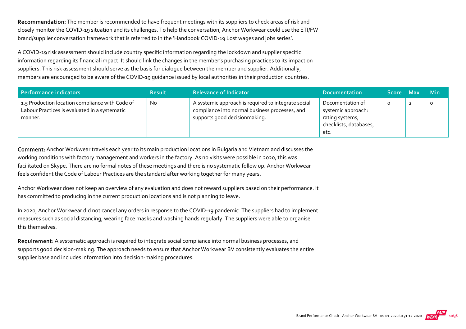Recommendation: The member is recommended to have frequent meetings with its suppliers to check areas of risk and closely monitor the COVID‐19 situation and its challenges. To help the conversation, Anchor Workwear could use the ETI/FW brand/supplier conversation framework that is referred to in the 'Handbook COVID‐19 Lost wages and jobs series'.

A COVID‐19 risk assessment should include country specific information regarding the lockdown and supplier specific information regarding its financial impact. It should link the changes in the member's purchasing practices to its impact on suppliers. This risk assessment should serve as the basis for dialogue between the member and supplier. Additionally, members are encouraged to be aware of the COVID‐19 guidance issued by local authorities in their production countries.

| Performance indicators                                                                                      | <b>Result</b> | <b>Relevance of Indicator</b>                                                                                                          | <b>Documentation</b>                                                                        | Score Max | <b>Min</b> |
|-------------------------------------------------------------------------------------------------------------|---------------|----------------------------------------------------------------------------------------------------------------------------------------|---------------------------------------------------------------------------------------------|-----------|------------|
| 1.5 Production location compliance with Code of<br>Labour Practices is evaluated in a systematic<br>manner. | <b>No</b>     | A systemic approach is required to integrate social<br>compliance into normal business processes, and<br>supports good decisionmaking. | Documentation of<br>systemic approach:<br>rating systems,<br>checklists, databases,<br>etc. | O         |            |

Comment: Anchor Workwear travels each year to its main production locations in Bulgaria and Vietnam and discusses the working conditions with factory management and workers in the factory. As no visits were possible in 2020, this was facilitated on Skype. There are no formal notes of these meetings and there is no systematic follow up. Anchor Workwear feels confident the Code of Labour Practices are the standard after working together for many years.

Anchor Workwear does not keep an overview of any evaluation and does not reward suppliers based on their performance. It has committed to producing in the current production locations and is not planning to leave.

In 2020, Anchor Workwear did not cancel any orders in response to the COVID‐19 pandemic. The suppliers had to implement measures such as social distancing, wearing face masks and washing hands regularly. The suppliers were able to organise this themselves.

Requirement: A systematic approach is required to integrate social compliance into normal business processes, and supports good decision-making. The approach needs to ensure that Anchor Workwear BV consistently evaluates the entire supplier base and includes information into decision‐making procedures.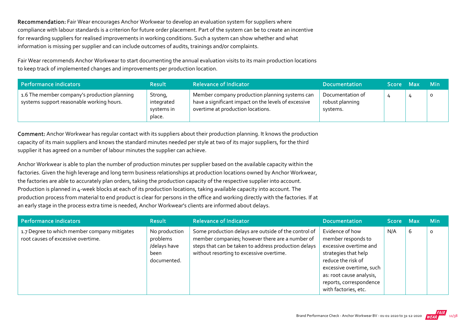Recommendation: Fair Wear encourages Anchor Workwear to develop an evaluation system for suppliers where compliance with labour standards is a criterion for future order placement. Part of the system can be to create an incentive for rewarding suppliers for realised improvements in working conditions. Such a system can show whether and what information is missing per supplier and can include outcomes of audits, trainings and/or complaints.

Fair Wear recommends Anchor Workwear to start documenting the annual evaluation visits to its main production locations to keep track of implemented changes and improvements per production location.

| Performance indicators                                                                    | <b>Result</b>                                 | <b>Relevance of Indicator</b>                                                                                                               | <b>Documentation</b>                            | Score Max | <b>Min</b> |
|-------------------------------------------------------------------------------------------|-----------------------------------------------|---------------------------------------------------------------------------------------------------------------------------------------------|-------------------------------------------------|-----------|------------|
| 1.6 The member company's production planning<br>systems support reasonable working hours. | Strong,<br>integrated<br>systems in<br>place. | Member company production planning systems can<br>have a significant impact on the levels of excessive<br>overtime at production locations. | Documentation of<br>robust planning<br>systems. |           | $\circ$    |

Comment: Anchor Workwear has regular contact with its suppliers about their production planning. It knows the production capacity of its main suppliers and knows the standard minutes needed per style at two of its major suppliers, for the third supplier it has agreed on a number of labour minutes the supplier can achieve.

Anchor Workwear is able to plan the number of production minutes per supplier based on the available capacity within the factories. Given the high leverage and long term business relationships at production locations owned by Anchor Workwear, the factories are able to accurately plan orders, taking the production capacity of the respective supplier into account. Production is planned in 4-week blocks at each of its production locations, taking available capacity into account. The production process from material to end product is clear for persons in the office and working directly with the factories. If at an early stage in the process extra time is needed, Anchor Workwear's clients are informed about delays.

| Performance indicators                                                             | <b>Result</b>                                                    | <b>Relevance of Indicator</b>                                                                                                                                                                               | <b>Documentation</b>                                                                                                                                                                                                     | Score Max |   | <b>Min</b> |
|------------------------------------------------------------------------------------|------------------------------------------------------------------|-------------------------------------------------------------------------------------------------------------------------------------------------------------------------------------------------------------|--------------------------------------------------------------------------------------------------------------------------------------------------------------------------------------------------------------------------|-----------|---|------------|
| 1.7 Degree to which member company mitigates<br>root causes of excessive overtime. | No production<br>problems<br>/delays have<br>been<br>documented. | Some production delays are outside of the control of<br>member companies; however there are a number of<br>steps that can be taken to address production delays<br>without resorting to excessive overtime. | Evidence of how<br>member responds to<br>excessive overtime and<br>strategies that help<br>reduce the risk of<br>excessive overtime, such<br>as: root cause analysis,<br>reports, correspondence<br>with factories, etc. | N/A       | 6 | $\circ$    |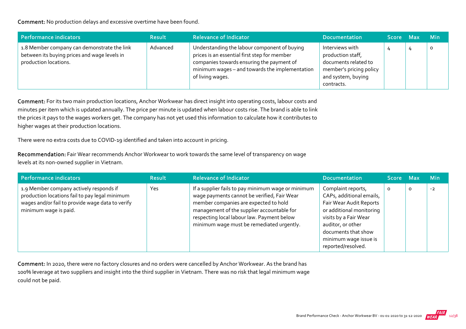Comment: No production delays and excessive overtime have been found.

| Performance indicators                                                                                               | <b>Result</b> | <b>Relevance of Indicator</b>                                                                                                                                                                                   | <b>Documentation</b>                                                                                                        | Score Max | <b>Min</b> |
|----------------------------------------------------------------------------------------------------------------------|---------------|-----------------------------------------------------------------------------------------------------------------------------------------------------------------------------------------------------------------|-----------------------------------------------------------------------------------------------------------------------------|-----------|------------|
| 1.8 Member company can demonstrate the link<br>between its buying prices and wage levels in<br>production locations. | Advanced      | Understanding the labour component of buying<br>prices is an essential first step for member<br>companies towards ensuring the payment of<br>minimum wages - and towards the implementation<br>of living wages. | Interviews with<br>production staff,<br>documents related to<br>member's pricing policy<br>and system, buying<br>contracts. |           |            |

Comment: For its two main production locations, Anchor Workwear has direct insight into operating costs, labour costs and minutes per item which is updated annually. The price per minute is updated when labour costs rise. The brand is able to link the prices it pays to the wages workers get. The company has not yet used this information to calculate how it contributes to higher wages at their production locations.

There were no extra costs due to COVID‐19 identified and taken into account in pricing.

Recommendation: Fair Wear recommends Anchor Workwear to work towards the same level of transparency on wage levels at its non‐owned supplier in Vietnam.

| Performance indicators                                                                                                                                                 | <b>Result</b> | <b>Relevance of Indicator</b>                                                                                                                                                                                                                                                       | <b>Documentation</b>                                                                                                                                                                                                      | Score Max |         | <b>Min</b> |
|------------------------------------------------------------------------------------------------------------------------------------------------------------------------|---------------|-------------------------------------------------------------------------------------------------------------------------------------------------------------------------------------------------------------------------------------------------------------------------------------|---------------------------------------------------------------------------------------------------------------------------------------------------------------------------------------------------------------------------|-----------|---------|------------|
| 1.9 Member company actively responds if<br>production locations fail to pay legal minimum<br>wages and/or fail to provide wage data to verify<br>minimum wage is paid. | Yes           | If a supplier fails to pay minimum wage or minimum<br>wage payments cannot be verified, Fair Wear<br>member companies are expected to hold<br>management of the supplier accountable for<br>respecting local labour law. Payment below<br>minimum wage must be remediated urgently. | Complaint reports,<br>CAPs, additional emails,<br>Fair Wear Audit Reports<br>or additional monitoring<br>visits by a Fair Wear<br>auditor, or other<br>documents that show<br>minimum wage issue is<br>reported/resolved. | $\circ$   | $\circ$ | $-2$       |

Comment: In 2020, there were no factory closures and no orders were cancelled by Anchor Workwear. As the brand has 100% leverage at two suppliers and insight into the third supplier in Vietnam. There was no risk that legal minimum wage could not be paid.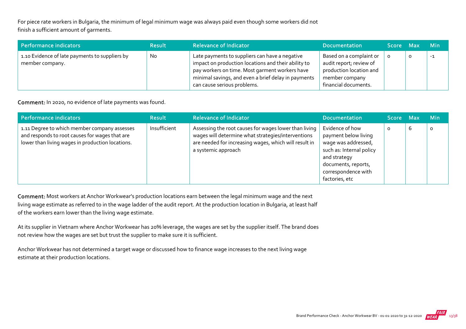For piece rate workers in Bulgaria, the minimum of legal minimum wage was always paid even though some workers did not finish a sufficient amount of garments.

| Performance indicators                                            | <b>Result</b> | <b>Relevance of Indicator</b>                                                                                                                                                                                                                 | <b>Documentation</b>                                                                                                    | Score Max | <b>Min</b> |
|-------------------------------------------------------------------|---------------|-----------------------------------------------------------------------------------------------------------------------------------------------------------------------------------------------------------------------------------------------|-------------------------------------------------------------------------------------------------------------------------|-----------|------------|
| 1.10 Evidence of late payments to suppliers by<br>member company. | No.           | Late payments to suppliers can have a negative<br>impact on production locations and their ability to<br>pay workers on time. Most garment workers have<br>minimal savings, and even a brief delay in payments<br>can cause serious problems. | Based on a complaint or<br>audit report; review of<br>production location and<br>member company<br>financial documents. |           | $-1$       |

Comment: In 2020, no evidence of late payments was found.

| Performance indicators                                                                                                                             | <b>Result</b> | <b>Relevance of Indicator</b>                                                                                                                                                               | <b>Documentation</b>                                                                                                                                                       | Score Max |   | <b>Min</b> |
|----------------------------------------------------------------------------------------------------------------------------------------------------|---------------|---------------------------------------------------------------------------------------------------------------------------------------------------------------------------------------------|----------------------------------------------------------------------------------------------------------------------------------------------------------------------------|-----------|---|------------|
| 1.11 Degree to which member company assesses<br>and responds to root causes for wages that are<br>lower than living wages in production locations. | Insufficient  | Assessing the root causes for wages lower than living<br>wages will determine what strategies/interventions<br>are needed for increasing wages, which will result in<br>a systemic approach | Evidence of how<br>payment below living<br>wage was addressed,<br>such as: Internal policy<br>and strategy<br>documents, reports,<br>correspondence with<br>factories, etc | 0         | ь | 0          |

Comment: Most workers at Anchor Workwear's production locations earn between the legal minimum wage and the next living wage estimate as referred to in the wage ladder of the audit report. At the production location in Bulgaria, at least half of the workers earn lower than the living wage estimate.

At its supplier in Vietnam where Anchor Workwear has 20% leverage, the wages are set by the supplier itself. The brand does not review how the wages are set but trust the supplier to make sure it is sufficient.

Anchor Workwear has not determined a target wage or discussed how to finance wage increases to the next living wage estimate at their production locations.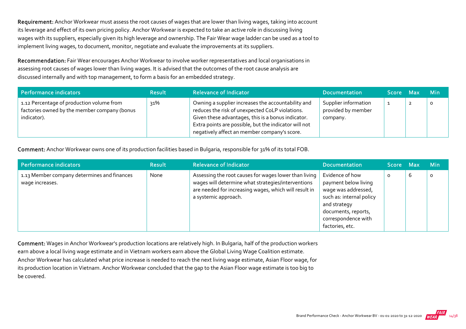Requirement: Anchor Workwear must assess the root causes of wages that are lower than living wages, taking into account its leverage and effect of its own pricing policy. Anchor Workwear is expected to take an active role in discussing living wages with its suppliers, especially given its high leverage and ownership. The Fair Wear wage ladder can be used as a tool to implement living wages, to document, monitor, negotiate and evaluate the improvements at its suppliers.

Recommendation: Fair Wear encourages Anchor Workwear to involve worker representatives and local organisations in assessing root causes of wages lower than living wages. It is advised that the outcomes of the root cause analysis are discussed internally and with top management, to form a basis for an embedded strategy.

| Performance indicators                                                                                   | <b>Result</b> | <b>Relevance of Indicator</b>                                                                                                                                                                                                                                        | Documentation                                          | Score Max |                | <b>Min</b> |
|----------------------------------------------------------------------------------------------------------|---------------|----------------------------------------------------------------------------------------------------------------------------------------------------------------------------------------------------------------------------------------------------------------------|--------------------------------------------------------|-----------|----------------|------------|
| 1.12 Percentage of production volume from<br>factories owned by the member company (bonus<br>indicator). | ว1%           | Owning a supplier increases the accountability and<br>reduces the risk of unexpected CoLP violations.<br>Given these advantages, this is a bonus indicator.<br>Extra points are possible, but the indicator will not<br>negatively affect an member company's score. | Supplier information<br>provided by member<br>company. |           | $\overline{2}$ | $\circ$    |

Comment: Anchor Workwear owns one of its production facilities based in Bulgaria, responsible for 31% of its total FOB.

| Performance indicators                                         | <b>Result</b> | <b>Relevance of Indicator</b>                                                                                                                                                                | <b>Documentation</b>                                                                                                                                                        | <b>Score</b> | - Max | Min      |
|----------------------------------------------------------------|---------------|----------------------------------------------------------------------------------------------------------------------------------------------------------------------------------------------|-----------------------------------------------------------------------------------------------------------------------------------------------------------------------------|--------------|-------|----------|
| 1.13 Member company determines and finances<br>wage increases. | None          | Assessing the root causes for wages lower than living<br>wages will determine what strategies/interventions<br>are needed for increasing wages, which will result in<br>a systemic approach. | Evidence of how<br>payment below living<br>wage was addressed,<br>such as: internal policy<br>and strategy<br>documents, reports,<br>correspondence with<br>factories, etc. | $\circ$      | b     | $\Omega$ |

Comment: Wages in Anchor Workwear's production locations are relatively high. In Bulgaria, half of the production workers earn above a local living wage estimate and in Vietnam workers earn above the Global Living Wage Coalition estimate. Anchor Workwear has calculated what price increase is needed to reach the next living wage estimate, Asian Floor wage, for its production location in Vietnam. Anchor Workwear concluded that the gap to the Asian Floor wage estimate is too big to be covered.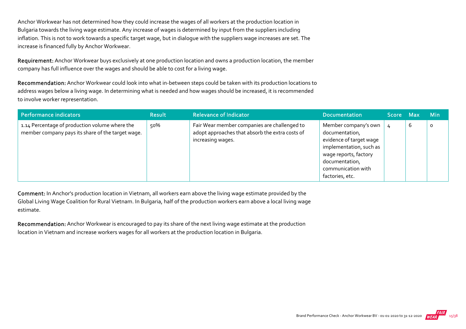Anchor Workwear has not determined how they could increase the wages of all workers at the production location in Bulgaria towards the living wage estimate. Any increase of wages is determined by input from the suppliers including inflation. This is not to work towards a specific target wage, but in dialogue with the suppliers wage increases are set. The increase is financed fully by Anchor Workwear.

Requirement: Anchor Workwear buys exclusively at one production location and owns a production location, the member company has full influence over the wages and should be able to cost for a living wage.

Recommendation: Anchor Workwear could look into what in-between steps could be taken with its production locations to address wages below a living wage. In determining what is needed and how wages should be increased, it is recommended to involve worker representation.

| Performance indicators                                                                              | <b>Result</b> | <b>Relevance of Indicator</b>                                                                                        | Documentation                                                                                                                                                                    | Score Max |   | <b>Min</b> |
|-----------------------------------------------------------------------------------------------------|---------------|----------------------------------------------------------------------------------------------------------------------|----------------------------------------------------------------------------------------------------------------------------------------------------------------------------------|-----------|---|------------|
| 1.14 Percentage of production volume where the<br>member company pays its share of the target wage. | 50%           | Fair Wear member companies are challenged to<br>adopt approaches that absorb the extra costs of<br>increasing wages. | Member company's own<br>documentation,<br>evidence of target wage<br>implementation, such as<br>wage reports, factory<br>documentation,<br>communication with<br>factories, etc. |           | b | 0          |

Comment: In Anchor's production location in Vietnam, all workers earn above the living wage estimate provided by the Global Living Wage Coalition for Rural Vietnam. In Bulgaria, half of the production workers earn above a local living wage estimate.

Recommendation: Anchor Workwear is encouraged to pay its share of the next living wage estimate at the production location in Vietnam and increase workers wages for all workers at the production location in Bulgaria.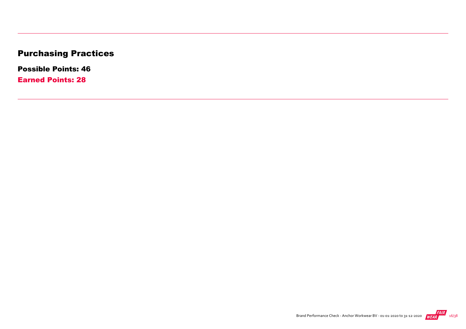## Purchasing Practices

Possible Points: 46

Earned Points: 28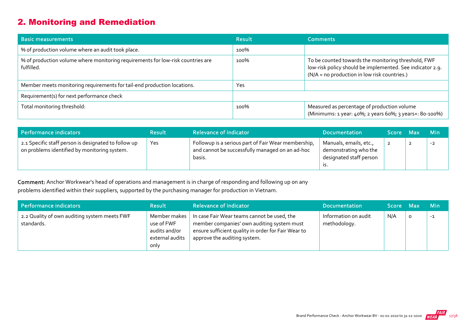#### 2. Monitoring and Remediation

| <b>Basic measurements</b>                                                                     | <b>Result</b> | <b>Comments</b>                                                                                                                                                  |
|-----------------------------------------------------------------------------------------------|---------------|------------------------------------------------------------------------------------------------------------------------------------------------------------------|
| % of production volume where an audit took place.                                             | 100%          |                                                                                                                                                                  |
| % of production volume where monitoring requirements for low-risk countries are<br>fulfilled. | 100%          | To be counted towards the monitoring threshold, FWF<br>low-risk policy should be implemented. See indicator 2.9.<br>(N/A = no production in low risk countries.) |
| Member meets monitoring requirements for tail-end production locations.                       | Yes           |                                                                                                                                                                  |
| Requirement(s) for next performance check                                                     |               |                                                                                                                                                                  |
| Total monitoring threshold:                                                                   | 100%          | Measured as percentage of production volume<br>(Minimums: 1 year: 40%; 2 years 60%; 3 years+: 80-100%)                                                           |

| Performance indicators                                                                               | <b>Result</b> | <b>Relevance of Indicator</b>                                                                                    | <b>Documentation</b>                                                              | Score Max |                | <b>Min</b> |
|------------------------------------------------------------------------------------------------------|---------------|------------------------------------------------------------------------------------------------------------------|-----------------------------------------------------------------------------------|-----------|----------------|------------|
| 2.1 Specific staff person is designated to follow up<br>on problems identified by monitoring system. | Yes           | Followup is a serious part of Fair Wear membership,<br>and cannot be successfully managed on an ad-hoc<br>basis. | Manuals, emails, etc.,<br>demonstrating who the<br>designated staff person<br>.כו |           | $\overline{2}$ | $-2$       |

Comment: Anchor Workwear's head of operations and management is in charge of responding and following up on any problems identified within their suppliers, supported by the purchasing manager for production in Vietnam.

| Performance indicators                                     | <b>Result</b>                                                          | <b>Relevance of Indicator</b>                                                                                                                                                    | <b>Documentation</b>                 | Score Max |         | <b>Min</b> |
|------------------------------------------------------------|------------------------------------------------------------------------|----------------------------------------------------------------------------------------------------------------------------------------------------------------------------------|--------------------------------------|-----------|---------|------------|
| 2.2 Quality of own auditing system meets FWF<br>standards. | Member makes<br>use of FWF<br>audits and/or<br>external audits<br>only | In case Fair Wear teams cannot be used, the<br>member companies' own auditing system must<br>ensure sufficient quality in order for Fair Wear to<br>approve the auditing system. | Information on audit<br>methodology. | N/A       | $\circ$ | $-1$       |

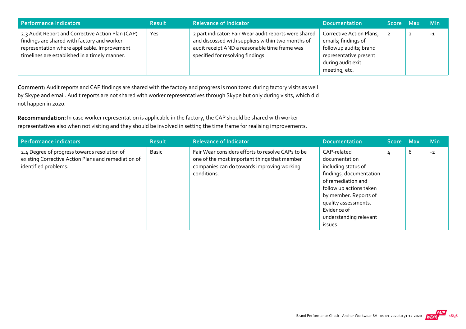| Performance indicators                                                                                                                                                                            | <b>Result</b> | <b>Relevance of Indicator</b>                                                                                                                                                                    | <b>Documentation</b>                                                                                                                      | Score Max | <b>Min</b> |
|---------------------------------------------------------------------------------------------------------------------------------------------------------------------------------------------------|---------------|--------------------------------------------------------------------------------------------------------------------------------------------------------------------------------------------------|-------------------------------------------------------------------------------------------------------------------------------------------|-----------|------------|
| 2.3 Audit Report and Corrective Action Plan (CAP)<br>findings are shared with factory and worker<br>representation where applicable. Improvement<br>timelines are established in a timely manner. | Yes           | 2 part indicator: Fair Wear audit reports were shared<br>and discussed with suppliers within two months of<br>audit receipt AND a reasonable time frame was<br>specified for resolving findings. | Corrective Action Plans,<br>emails; findings of<br>followup audits; brand<br>representative present<br>during audit exit<br>meeting, etc. |           | $-1$       |

Comment: Audit reports and CAP findings are shared with the factory and progress is monitored during factory visits as well by Skype and email. Audit reports are not shared with worker representatives through Skype but only during visits, which did not happen in 2020.

Recommendation: In case worker representation is applicable in the factory, the CAP should be shared with worker representatives also when not visiting and they should be involved in setting the time frame for realising improvements.

| Performance indicators                                                                                                      | <b>Result</b> | <b>Relevance of Indicator</b>                                                                                                                                  | <b>Documentation</b>                                                                                                                                                                                                                 | Score Max |   | <b>Min</b> |
|-----------------------------------------------------------------------------------------------------------------------------|---------------|----------------------------------------------------------------------------------------------------------------------------------------------------------------|--------------------------------------------------------------------------------------------------------------------------------------------------------------------------------------------------------------------------------------|-----------|---|------------|
| 2.4 Degree of progress towards resolution of<br>existing Corrective Action Plans and remediation of<br>identified problems. | Basic         | Fair Wear considers efforts to resolve CAPs to be<br>one of the most important things that member<br>companies can do towards improving working<br>conditions. | CAP-related<br>documentation<br>including status of<br>findings, documentation<br>of remediation and<br>follow up actions taken<br>by member. Reports of<br>quality assessments.<br>Evidence of<br>understanding relevant<br>issues. | 4         | 8 | $-2$       |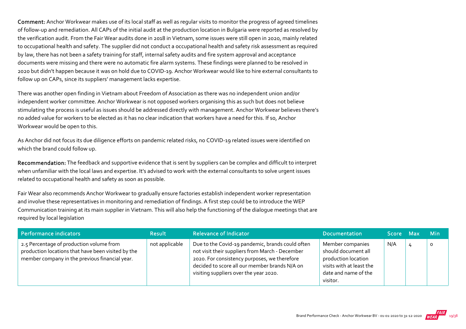Comment: Anchor Workwear makes use of its local staff as well as regular visits to monitor the progress of agreed timelines of follow‐up and remediation. All CAPs of the initial audit at the production location in Bulgaria were reported as resolved by the verification audit. From the Fair Wear audits done in 2018 in Vietnam, some issues were still open in 2020, mainly related to occupational health and safety. The supplier did not conduct a occupational health and safety risk assessment as required by law, there has not been a safety training for staff, internal safety audits and fire system approval and acceptance documents were missing and there were no automatic fire alarm systems. These findings were planned to be resolved in 2020 but didn't happen because it was on hold due to COVID‐19. Anchor Workwear would like to hire external consultants to follow up on CAPs, since its suppliers' management lacks expertise.

There was another open finding in Vietnam about Freedom of Association as there was no independent union and/or independent worker committee. Anchor Workwear is not opposed workers organising this as such but does not believe stimulating the process is useful as issues should be addressed directly with management. Anchor Workwear believes there's no added value for workers to be elected as it has no clear indication that workers have a need for this. If so, Anchor Workwear would be open to this.

As Anchor did not focus its due diligence efforts on pandemic related risks, no COVID‐19 related issues were identified on which the brand could follow up.

Recommendation: The feedback and supportive evidence that is sent by suppliers can be complex and difficult to interpret when unfamiliar with the local laws and expertise. It's advised to work with the external consultants to solve urgent issues related to occupational health and safety as soon as possible.

Fair Wear also recommends Anchor Workwear to gradually ensure factories establish independent worker representation and involve these representatives in monitoring and remediation of findings. A first step could be to introduce the WEP Communication training at its main supplier in Vietnam. This will also help the functioning of the dialogue meetings that are required by local legislation

| Performance indicators                                                                                                                           | <b>Result</b>  | <b>Relevance of Indicator</b>                                                                                                                                                                                                                  | <b>Documentation</b>                                                                                                           | Score Max | <b>Min</b> |
|--------------------------------------------------------------------------------------------------------------------------------------------------|----------------|------------------------------------------------------------------------------------------------------------------------------------------------------------------------------------------------------------------------------------------------|--------------------------------------------------------------------------------------------------------------------------------|-----------|------------|
| 2.5 Percentage of production volume from<br>production locations that have been visited by the<br>member company in the previous financial year. | not applicable | Due to the Covid-19 pandemic, brands could often<br>not visit their suppliers from March - December<br>2020. For consistency purposes, we therefore<br>decided to score all our member brands N/A on<br>visiting suppliers over the year 2020. | Member companies<br>should document all<br>production location<br>visits with at least the<br>date and name of the<br>visitor. | N/A       | 0          |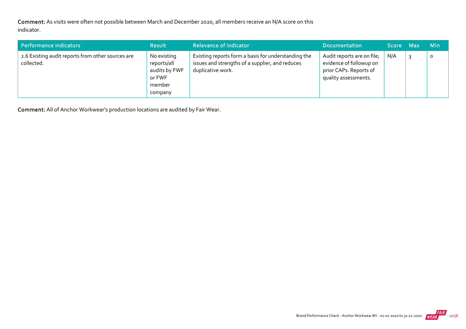Comment: As visits were often not possible between March and December 2020, all members receive an N/A score on this indicator.

| Performance indicators                                          | <b>Result</b>                                                              | <b>Relevance of Indicator</b>                                                                                               | <b>Documentation</b>                                                                                    | <b>Score Max</b> ' |   | <b>Min</b> |
|-----------------------------------------------------------------|----------------------------------------------------------------------------|-----------------------------------------------------------------------------------------------------------------------------|---------------------------------------------------------------------------------------------------------|--------------------|---|------------|
| 2.6 Existing audit reports from other sources are<br>collected. | No existing<br>reports/all<br>audits by FWF<br>or FWF<br>member<br>company | Existing reports form a basis for understanding the<br>issues and strengths of a supplier, and reduces<br>duplicative work. | Audit reports are on file;<br>evidence of followup on<br>prior CAPs. Reports of<br>quality assessments. | N/A                | 3 | $\circ$    |

Comment: All of Anchor Workwear's production locations are audited by Fair Wear.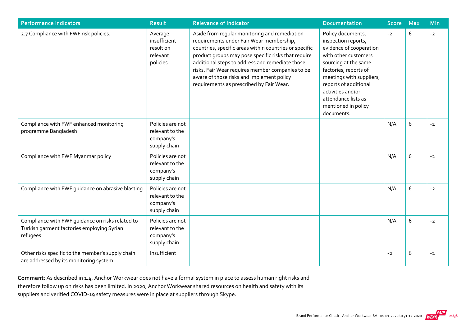| <b>Performance indicators</b>                                                                              | <b>Result</b>                                                    | <b>Relevance of Indicator</b>                                                                                                                                                                                                                                                                                                                                                                              | <b>Documentation</b>                                                                                                                                                                                                                                                               | <b>Score</b> | <b>Max</b> | <b>Min</b> |
|------------------------------------------------------------------------------------------------------------|------------------------------------------------------------------|------------------------------------------------------------------------------------------------------------------------------------------------------------------------------------------------------------------------------------------------------------------------------------------------------------------------------------------------------------------------------------------------------------|------------------------------------------------------------------------------------------------------------------------------------------------------------------------------------------------------------------------------------------------------------------------------------|--------------|------------|------------|
| 2.7 Compliance with FWF risk policies.                                                                     | Average<br>insufficient<br>result on<br>relevant<br>policies     | Aside from regular monitoring and remediation<br>requirements under Fair Wear membership,<br>countries, specific areas within countries or specific<br>product groups may pose specific risks that require<br>additional steps to address and remediate those<br>risks. Fair Wear requires member companies to be<br>aware of those risks and implement policy<br>requirements as prescribed by Fair Wear. | Policy documents,<br>inspection reports,<br>evidence of cooperation<br>with other customers<br>sourcing at the same<br>factories, reports of<br>meetings with suppliers,<br>reports of additional<br>activities and/or<br>attendance lists as<br>mentioned in policy<br>documents. | $-2$         | 6          | $-2$       |
| Compliance with FWF enhanced monitoring<br>programme Bangladesh                                            | Policies are not<br>relevant to the<br>company's<br>supply chain |                                                                                                                                                                                                                                                                                                                                                                                                            |                                                                                                                                                                                                                                                                                    | N/A          | 6          | $-2$       |
| Compliance with FWF Myanmar policy                                                                         | Policies are not<br>relevant to the<br>company's<br>supply chain |                                                                                                                                                                                                                                                                                                                                                                                                            |                                                                                                                                                                                                                                                                                    | N/A          | 6          | $-2$       |
| Compliance with FWF guidance on abrasive blasting                                                          | Policies are not<br>relevant to the<br>company's<br>supply chain |                                                                                                                                                                                                                                                                                                                                                                                                            |                                                                                                                                                                                                                                                                                    | N/A          | 6          | $-2$       |
| Compliance with FWF quidance on risks related to<br>Turkish garment factories employing Syrian<br>refugees | Policies are not<br>relevant to the<br>company's<br>supply chain |                                                                                                                                                                                                                                                                                                                                                                                                            |                                                                                                                                                                                                                                                                                    | N/A          | 6          | $-2$       |
| Other risks specific to the member's supply chain<br>are addressed by its monitoring system                | Insufficient                                                     |                                                                                                                                                                                                                                                                                                                                                                                                            |                                                                                                                                                                                                                                                                                    | $-2$         | 6          | $-2$       |

Comment: As described in 1.4, Anchor Workwear does not have a formal system in place to assess human right risks and therefore follow up on risks has been limited. In 2020, Anchor Workwear shared resources on health and safety with its suppliers and verified COVID‐19 safety measures were in place at suppliers through Skype.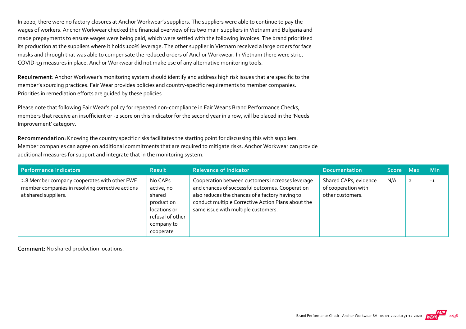In 2020, there were no factory closures at Anchor Workwear's suppliers. The suppliers were able to continue to pay the wages of workers. Anchor Workwear checked the financial overview of its two main suppliers in Vietnam and Bulgaria and made prepayments to ensure wages were being paid, which were settled with the following invoices. The brand prioritised its production at the suppliers where it holds 100% leverage. The other supplier in Vietnam received a large orders for face masks and through that was able to compensate the reduced orders of Anchor Workwear. In Vietnam there were strict COVID‐19 measures in place. Anchor Workwear did not make use of any alternative monitoring tools.

Requirement: Anchor Workwear's monitoring system should identify and address high risk issues that are specific to the member's sourcing practices. Fair Wear provides policies and country‐specific requirements to member companies. Priorities in remediation efforts are guided by these policies.

Please note that following Fair Wear's policy for repeated non-compliance in Fair Wear's Brand Performance Checks, members that receive an insufficient or ‐2 score on this indicator for the second year in a row, will be placed in the 'Needs Improvement' category.

Recommendation: Knowing the country specific risks facilitates the starting point for discussing this with suppliers. Member companies can agree on additional commitments that are required to mitigate risks. Anchor Workwear can provide additional measures for support and integrate that in the monitoring system.

| Performance indicators                                                                                                   | <b>Result</b>                                                                                                | <b>Relevance of Indicator</b>                                                                                                                                                                                                                       | <b>Documentation</b>                                             | <b>Score</b> | <b>Max</b> | <b>Min</b> |
|--------------------------------------------------------------------------------------------------------------------------|--------------------------------------------------------------------------------------------------------------|-----------------------------------------------------------------------------------------------------------------------------------------------------------------------------------------------------------------------------------------------------|------------------------------------------------------------------|--------------|------------|------------|
| 2.8 Member company cooperates with other FWF<br>member companies in resolving corrective actions<br>at shared suppliers. | No CAPs<br>active, no<br>shared<br>production<br>locations or<br>refusal of other<br>company to<br>cooperate | Cooperation between customers increases leverage<br>and chances of successful outcomes. Cooperation<br>also reduces the chances of a factory having to<br>conduct multiple Corrective Action Plans about the<br>same issue with multiple customers. | Shared CAPs, evidence<br>of cooperation with<br>other customers. | N/A          |            | $-1$       |

Comment: No shared production locations.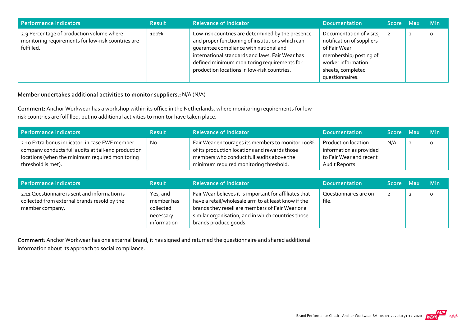| Performance indicators                                                                                        | <b>Result</b> | <b>Relevance of Indicator</b>                                                                                                                                                                                                                                                                    | <b>Documentation</b>                                                                                                                                          | Score Max | <b>Min</b> |
|---------------------------------------------------------------------------------------------------------------|---------------|--------------------------------------------------------------------------------------------------------------------------------------------------------------------------------------------------------------------------------------------------------------------------------------------------|---------------------------------------------------------------------------------------------------------------------------------------------------------------|-----------|------------|
| 2.9 Percentage of production volume where<br>monitoring requirements for low-risk countries are<br>fulfilled. | 100%          | Low-risk countries are determined by the presence<br>and proper functioning of institutions which can<br>quarantee compliance with national and<br>international standards and laws. Fair Wear has<br>defined minimum monitoring requirements for<br>production locations in low-risk countries. | Documentation of visits,<br>notification of suppliers<br>of Fair Wear<br>membership; posting of<br>worker information<br>sheets, completed<br>questionnaires. |           | 0          |

#### Member undertakes additional activities to monitor suppliers.: N/A (N/A)

Comment: Anchor Workwear has a workshop within its office in the Netherlands, where monitoring requirements for low‐ risk countries are fulfilled, but no additional activities to monitor have taken place.

| Performance indicators                                                                                                                                                         | <b>Result</b> | <b>Relevance of Indicator</b>                                                                                                                                                            | <b>Documentation</b>                                                                               | Score Max |                | <b>Min</b> |
|--------------------------------------------------------------------------------------------------------------------------------------------------------------------------------|---------------|------------------------------------------------------------------------------------------------------------------------------------------------------------------------------------------|----------------------------------------------------------------------------------------------------|-----------|----------------|------------|
| 2.10 Extra bonus indicator: in case FWF member<br>company conducts full audits at tail-end production<br>locations (when the minimum required monitoring<br>threshold is met). | No.           | Fair Wear encourages its members to monitor 100%<br>of its production locations and rewards those<br>members who conduct full audits above the<br>minimum required monitoring threshold. | <b>Production location</b><br>information as provided<br>to Fair Wear and recent<br>Audit Reports. | N/A       | $\overline{2}$ | $\Omega$   |

| Performance indicators                                                                                           | <b>Result</b>                                                   | <b>Relevance of Indicator</b>                                                                                                                                                                                                                    | <b>Documentation</b>           | <b>Score</b>   | <b>Max</b> | <b>Min</b> |
|------------------------------------------------------------------------------------------------------------------|-----------------------------------------------------------------|--------------------------------------------------------------------------------------------------------------------------------------------------------------------------------------------------------------------------------------------------|--------------------------------|----------------|------------|------------|
| 2.11 Questionnaire is sent and information is<br>collected from external brands resold by the<br>member company. | Yes, and<br>member has<br>collected<br>necessary<br>information | Fair Wear believes it is important for affiliates that<br>have a retail/wholesale arm to at least know if the<br>brands they resell are members of Fair Wear or a<br>similar organisation, and in which countries those<br>brands produce goods. | Questionnaires are on<br>file. | $\overline{2}$ |            | 0          |

Comment: Anchor Workwear has one external brand, it has signed and returned the questionnaire and shared additional information about its approach to social compliance.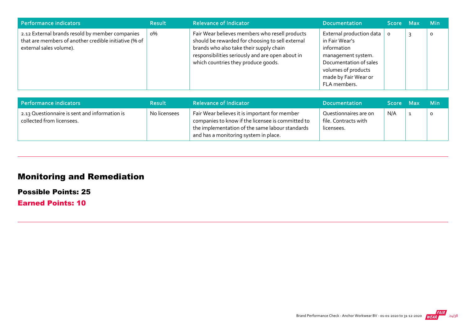| Performance indicators                                                                                                              | <b>Result</b> | <b>Relevance of Indicator</b>                                                                                                                                                                                                            | Documentation                                                                                                                                                            | Score Max | <b>Min</b> |
|-------------------------------------------------------------------------------------------------------------------------------------|---------------|------------------------------------------------------------------------------------------------------------------------------------------------------------------------------------------------------------------------------------------|--------------------------------------------------------------------------------------------------------------------------------------------------------------------------|-----------|------------|
| 2.12 External brands resold by member companies<br>that are members of another credible initiative (% of<br>external sales volume). | о%            | Fair Wear believes members who resell products<br>should be rewarded for choosing to sell external<br>brands who also take their supply chain<br>responsibilities seriously and are open about in<br>which countries they produce goods. | External production data<br>in Fair Wear's<br>information<br>management system.<br>Documentation of sales<br>volumes of products<br>made by Fair Wear or<br>FLA members. | $\circ$   | 0          |

| Performance indicators                                                     | <b>Result</b> | <b>Relevance of Indicator</b>                                                                                                                                                                  | <b>Documentation</b>                                        | Score Max | <b>Min</b> |
|----------------------------------------------------------------------------|---------------|------------------------------------------------------------------------------------------------------------------------------------------------------------------------------------------------|-------------------------------------------------------------|-----------|------------|
| 2.13 Questionnaire is sent and information is<br>collected from licensees. | No licensees  | Fair Wear believes it is important for member<br>companies to know if the licensee is committed to<br>the implementation of the same labour standards<br>and has a monitoring system in place. | Questionnaires are on<br>file. Contracts with<br>licensees. | N/A       |            |

## Monitoring and Remediation

Possible Points: 25

Earned Points: 10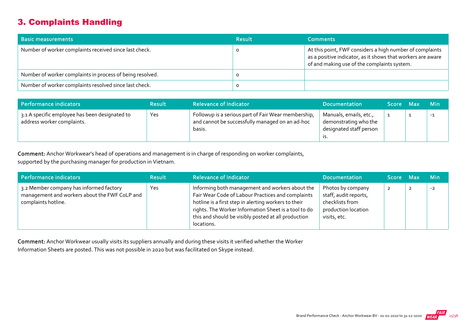#### 3. Complaints Handling

| <b>Basic measurements</b>                                 | <b>Result</b> | <b>Comments</b>                                                                                                                                                        |
|-----------------------------------------------------------|---------------|------------------------------------------------------------------------------------------------------------------------------------------------------------------------|
| Number of worker complaints received since last check.    |               | At this point, FWF considers a high number of complaints<br>as a positive indicator, as it shows that workers are aware<br>of and making use of the complaints system. |
| Number of worker complaints in process of being resolved. |               |                                                                                                                                                                        |
| Number of worker complaints resolved since last check.    |               |                                                                                                                                                                        |

| Performance indicators                                                       | <b>Result</b> | <b>Relevance of Indicator</b>                                                                                    | <b>Documentation</b>                                                       | Score Max | <b>Min</b> |
|------------------------------------------------------------------------------|---------------|------------------------------------------------------------------------------------------------------------------|----------------------------------------------------------------------------|-----------|------------|
| 3.1 A specific employee has been designated to<br>address worker complaints. | Yes           | Followup is a serious part of Fair Wear membership,<br>and cannot be successfully managed on an ad-hoc<br>basis. | Manuals, emails, etc.,<br>demonstrating who the<br>designated staff person |           | $-1$       |

Comment: Anchor Workwear's head of operations and management is in charge of responding on worker complaints,

supported by the purchasing manager for production in Vietnam.

| Performance indicators                                                                                          | <b>Result</b> | <b>Relevance of Indicator</b>                                                                                                                                                                                                                                                             | <b>Documentation</b>                                                                                 | Score Max |                | <b>Min</b> |
|-----------------------------------------------------------------------------------------------------------------|---------------|-------------------------------------------------------------------------------------------------------------------------------------------------------------------------------------------------------------------------------------------------------------------------------------------|------------------------------------------------------------------------------------------------------|-----------|----------------|------------|
| 3.2 Member company has informed factory<br>management and workers about the FWF CoLP and<br>complaints hotline. | Yes           | Informing both management and workers about the<br>Fair Wear Code of Labour Practices and complaints<br>hotline is a first step in alerting workers to their<br>rights. The Worker Information Sheet is a tool to do<br>this and should be visibly posted at all production<br>locations. | Photos by company<br>staff, audit reports,<br>checklists from<br>production location<br>visits, etc. |           | $\overline{2}$ | $-2$       |

Comment: Anchor Workwear usually visits its suppliers annually and during these visits it verified whether the Worker Information Sheets are posted. This was not possible in 2020 but was facilitated on Skype instead.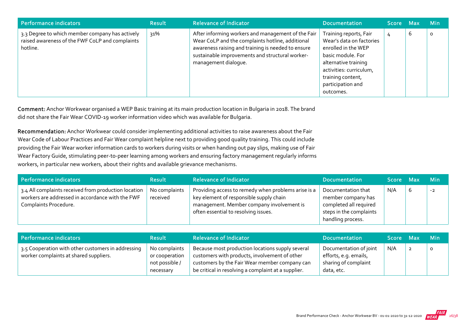| Performance indicators                                                                                         | <b>Result</b> | <b>Relevance of Indicator</b>                                                                                                                                                                                                           | <b>Documentation</b>                                                                                                                                                                                     | Score Max |   | <b>Min</b> |
|----------------------------------------------------------------------------------------------------------------|---------------|-----------------------------------------------------------------------------------------------------------------------------------------------------------------------------------------------------------------------------------------|----------------------------------------------------------------------------------------------------------------------------------------------------------------------------------------------------------|-----------|---|------------|
| 3.3 Degree to which member company has actively<br>raised awareness of the FWF CoLP and complaints<br>hotline. | 31%           | After informing workers and management of the Fair<br>Wear CoLP and the complaints hotline, additional<br>awareness raising and training is needed to ensure<br>sustainable improvements and structural worker-<br>management dialogue. | Training reports, Fair<br>Wear's data on factories<br>enrolled in the WEP<br>basic module. For<br>alternative training<br>activities: curriculum,<br>training content,<br>participation and<br>outcomes. | 4         | ь | $\circ$    |

Comment: Anchor Workwear organised a WEP Basic training at its main production location in Bulgaria in 2018. The brand did not share the Fair Wear COVID‐19 worker information video which was available for Bulgaria.

Recommendation: Anchor Workwear could consider implementing additional activities to raise awareness about the Fair Wear Code of Labour Practices and Fair Wear complaint helpline next to providing good quality training. This could include providing the Fair Wear worker information cards to workers during visits or when handing out pay slips, making use of Fair Wear Factory Guide, stimulating peer-to-peer learning among workers and ensuring factory management regularly informs workers, in particular new workers, about their rights and available grievance mechanisms.

| <b>Performance indicators</b>                                                                                                     | <b>Result</b>             | <b>Relevance of Indicator</b>                                                                                                                                                       | <b>Documentation</b>                                                                                               | Score Max |   | <b>Min</b> |
|-----------------------------------------------------------------------------------------------------------------------------------|---------------------------|-------------------------------------------------------------------------------------------------------------------------------------------------------------------------------------|--------------------------------------------------------------------------------------------------------------------|-----------|---|------------|
| 3.4 All complaints received from production location<br>workers are addressed in accordance with the FWF<br>Complaints Procedure. | No complaints<br>received | Providing access to remedy when problems arise is a<br>key element of responsible supply chain<br>management. Member company involvement is<br>often essential to resolving issues. | Documentation that<br>member company has<br>completed all required<br>steps in the complaints<br>handling process. | N/A       | b | $-2$       |

| Performance indicators                                                                       | <b>Result</b>                                                  | <b>Relevance of Indicator</b>                                                                                                                                                                             | <b>Documentation</b>                                                                  | Score Max | <b>Min</b> |
|----------------------------------------------------------------------------------------------|----------------------------------------------------------------|-----------------------------------------------------------------------------------------------------------------------------------------------------------------------------------------------------------|---------------------------------------------------------------------------------------|-----------|------------|
| 3.5 Cooperation with other customers in addressing<br>worker complaints at shared suppliers. | No complaints<br>or cooperation<br>not possible /<br>necessary | Because most production locations supply several<br>customers with products, involvement of other<br>customers by the Fair Wear member company can<br>be critical in resolving a complaint at a supplier. | Documentation of joint<br>efforts, e.g. emails,<br>sharing of complaint<br>data, etc. | N/A       |            |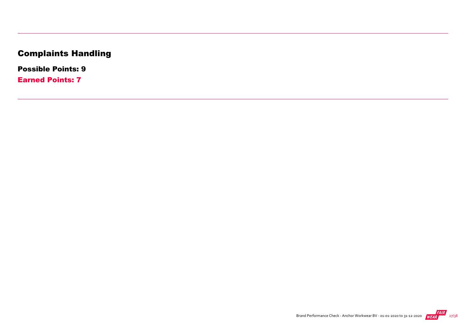## Complaints Handling

Possible Points: 9

Earned Points: 7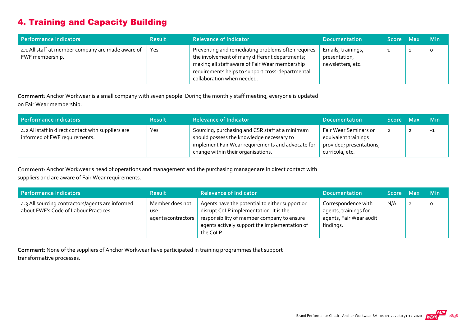#### 4. Training and Capacity Building

| Performance indicators                                               | <b>Result</b> | <b>Relevance of Indicator</b>                                                                                                                                                                                                            | <b>Documentation</b>                                     | Score Max | <b>Min</b> |
|----------------------------------------------------------------------|---------------|------------------------------------------------------------------------------------------------------------------------------------------------------------------------------------------------------------------------------------------|----------------------------------------------------------|-----------|------------|
| 4.1 All staff at member company are made aware of<br>FWF membership. | Yes           | Preventing and remediating problems often requires<br>the involvement of many different departments;<br>making all staff aware of Fair Wear membership<br>requirements helps to support cross-departmental<br>collaboration when needed. | Emails, trainings,<br>presentation,<br>newsletters, etc. |           | $\circ$    |

Comment: Anchor Workwear is a small company with seven people. During the monthly staff meeting, everyone is updated on Fair Wear membership.

| Performance indicators                                                              | <b>Result</b> | <b>Relevance of Indicator</b>                                                                                                                                                           | <b>Documentation</b>                                                                         | Score Max | <b>Min</b> |
|-------------------------------------------------------------------------------------|---------------|-----------------------------------------------------------------------------------------------------------------------------------------------------------------------------------------|----------------------------------------------------------------------------------------------|-----------|------------|
| 4.2 All staff in direct contact with suppliers are<br>informed of FWF requirements. | Yes           | Sourcing, purchasing and CSR staff at a minimum<br>should possess the knowledge necessary to<br>implement Fair Wear requirements and advocate for<br>change within their organisations. | Fair Wear Seminars or<br>equivalent trainings<br>provided; presentations,<br>curricula, etc. | 2         | $-1$       |

Comment: Anchor Workwear's head of operations and management and the purchasing manager are in direct contact with suppliers and are aware of Fair Wear requirements.

| Performance indicators                                                                    | <b>Result</b>                                       | <b>Relevance of Indicator</b>                                                                                                                                                                        | <b>Documentation</b>                                                                 | Score Max |   | <b>Min</b> |
|-------------------------------------------------------------------------------------------|-----------------------------------------------------|------------------------------------------------------------------------------------------------------------------------------------------------------------------------------------------------------|--------------------------------------------------------------------------------------|-----------|---|------------|
| 4.3 All sourcing contractors/agents are informed<br>about FWF's Code of Labour Practices. | Member does not<br><b>USe</b><br>agents/contractors | Agents have the potential to either support or<br>disrupt CoLP implementation. It is the<br>responsibility of member company to ensure<br>agents actively support the implementation of<br>the CoLP. | Correspondence with<br>agents, trainings for<br>agents, Fair Wear audit<br>findings. | N/A       | 2 | $\circ$    |

Comment: None of the suppliers of Anchor Workwear have participated in training programmes that support transformative processes.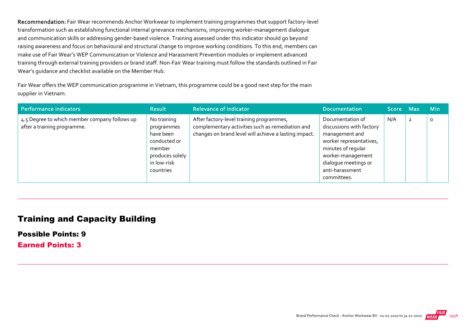Recommendation: Fair Wear recommends Anchor Workwear to implement training programmes that support factory-level transformation such as establishing functional internal grievance mechanisms, improving worker‐management dialogue and communication skills or addressing gender-based violence. Training assessed under this indicator should go beyond raising awareness and focus on behavioural and structural change to improve working conditions. To this end, members can make use of Fair Wear's WEP Communication or Violence and Harassment Prevention modules or implement advanced training through external training providers or brand staff. Non‐Fair Wear training must follow the standards outlined in Fair Wear's guidance and checklist available on the Member Hub.

Fair Wear offers the WEP communication programme in Vietnam, this programme could be a good next step for the main supplier in Vietnam.

| Performance indicators                                                       | <b>Result</b>                                                                                                   | <b>Relevance of Indicator</b>                                                                                                                         | <b>Documentation</b>                                                                                                                                                                           | Score Max |                | <b>Min</b> |
|------------------------------------------------------------------------------|-----------------------------------------------------------------------------------------------------------------|-------------------------------------------------------------------------------------------------------------------------------------------------------|------------------------------------------------------------------------------------------------------------------------------------------------------------------------------------------------|-----------|----------------|------------|
| 4.5 Degree to which member company follows up<br>after a training programme. | No training<br>programmes<br>have been<br>conducted or<br>member<br>produces solely<br>in low-risk<br>countries | After factory-level training programmes,<br>complementary activities such as remediation and<br>changes on brand level will achieve a lasting impact. | Documentation of<br>discussions with factory<br>management and<br>worker representatives,<br>minutes of regular<br>worker-management<br>dialogue meetings or<br>anti-harassment<br>committees. | N/A       | $\overline{2}$ | $\circ$    |

#### Training and Capacity Building

Possible Points: 9

Earned Points: 3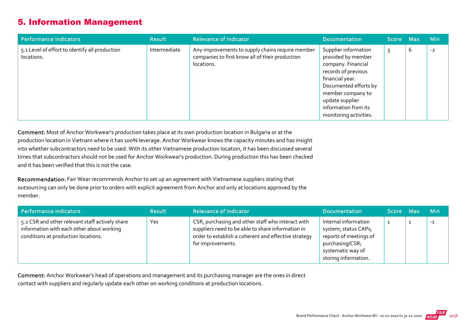#### 5. Information Management

| Performance indicators                                       | <b>Result</b> | <b>Relevance of Indicator</b>                                                                                     | <b>Documentation</b>                                                                                                                                                                                                          | Score Max |   | <b>Min</b> |
|--------------------------------------------------------------|---------------|-------------------------------------------------------------------------------------------------------------------|-------------------------------------------------------------------------------------------------------------------------------------------------------------------------------------------------------------------------------|-----------|---|------------|
| 5.1 Level of effort to identify all production<br>locations. | Intermediate  | Any improvements to supply chains require member<br>companies to first know all of their production<br>locations. | Supplier information<br>provided by member<br>company. Financial<br>records of previous<br>financial year.<br>Documented efforts by<br>member company to<br>update supplier<br>information from its<br>monitoring activities. |           | b | $-2$       |

Comment: Most of Anchor Workwear's production takes place at its own production location in Bulgaria or at the production location in Vietnam where it has 100% leverage. Anchor Workwear knows the capacity minutes and has insight into whether subcontractors need to be used. With its other Vietnamese production location, it has been discussed several times that subcontractors should not be used for Anchor Workwear's production. During production this has been checked and it has been verified that this is not the case.

Recommendation: Fair Wear recommends Anchor to set up an agreement with Vietnamese suppliers stating that outsourcing can only be done prior to orders with explicit agreement from Anchor and only at locations approved by the member.

| Performance indicators                                                                                                              | <b>Result</b> | <b>Relevance of Indicator</b>                                                                                                                                                       | <b>Documentation</b>                                                                                                                   | Score Max | <b>Min</b> |
|-------------------------------------------------------------------------------------------------------------------------------------|---------------|-------------------------------------------------------------------------------------------------------------------------------------------------------------------------------------|----------------------------------------------------------------------------------------------------------------------------------------|-----------|------------|
| 5.2 CSR and other relevant staff actively share<br>information with each other about working<br>conditions at production locations. | Yes           | CSR, purchasing and other staff who interact with<br>suppliers need to be able to share information in<br>order to establish a coherent and effective strategy<br>for improvements. | Internal information<br>system; status CAPs,<br>reports of meetings of<br>purchasing/CSR;<br>systematic way of<br>storing information. |           | $-1$       |

Comment: Anchor Workwear's head of operations and management and its purchasing manager are the ones in direct contact with suppliers and regularly update each other on working conditions at production locations.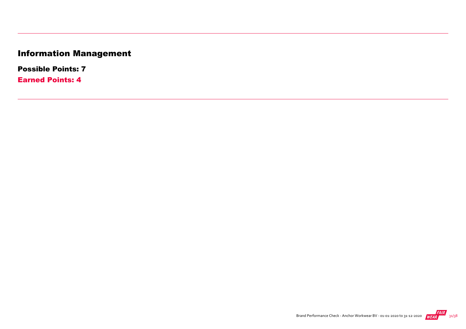## Information Management

Possible Points: 7

Earned Points: 4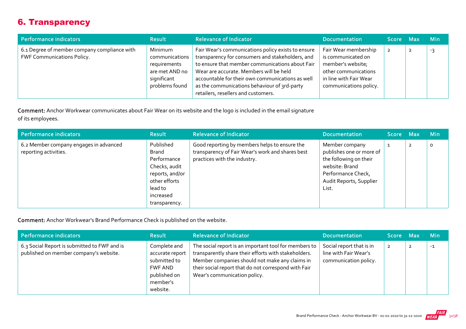#### 6. Transparency

| Performance indicators                                                     | <b>Result</b>                                                                                | <b>Relevance of Indicator</b>                                                                                                                                                                                                                                                                                                                   | <b>Documentation</b>                                                                                                                        | Score Max      | Min |
|----------------------------------------------------------------------------|----------------------------------------------------------------------------------------------|-------------------------------------------------------------------------------------------------------------------------------------------------------------------------------------------------------------------------------------------------------------------------------------------------------------------------------------------------|---------------------------------------------------------------------------------------------------------------------------------------------|----------------|-----|
| 6.1 Degree of member company compliance with<br>FWF Communications Policy. | Minimum<br>communications<br>requirements<br>are met AND no<br>significant<br>problems found | Fair Wear's communications policy exists to ensure<br>transparency for consumers and stakeholders, and<br>to ensure that member communications about Fair<br>Wear are accurate. Members will be held<br>accountable for their own communications as well<br>as the communications behaviour of 3rd-party<br>retailers, resellers and customers. | Fair Wear membership<br>is communicated on<br>member's website;<br>other communications<br>in line with Fair Wear<br>communications policy. | $\overline{2}$ | -3  |

Comment: Anchor Workwear communicates about Fair Wear on its website and the logo is included in the email signature of its employees.

| Performance indicators                                          | <b>Result</b>                                                                                                                   | <b>Relevance of Indicator</b>                                                                                                     | <b>Documentation</b>                                                                                                                             | Score Max |                | <b>Min</b> |
|-----------------------------------------------------------------|---------------------------------------------------------------------------------------------------------------------------------|-----------------------------------------------------------------------------------------------------------------------------------|--------------------------------------------------------------------------------------------------------------------------------------------------|-----------|----------------|------------|
| 6.2 Member company engages in advanced<br>reporting activities. | Published<br>Brand<br>Performance<br>Checks, audit<br>reports, and/or<br>other efforts<br>lead to<br>increased<br>transparency. | Good reporting by members helps to ensure the<br>transparency of Fair Wear's work and shares best<br>practices with the industry. | Member company<br>publishes one or more of<br>the following on their<br>website: Brand<br>Performance Check,<br>Audit Reports, Supplier<br>List. |           | $\overline{2}$ | $\circ$    |

Comment: Anchor Workwear's Brand Performance Check is published on the website.

| Performance indicators                                                                 | <b>Result</b>                                                                                      | <b>Relevance of Indicator</b>                                                                                                                                                                                                                           | <b>Documentation</b>                                                       | ا Score Max    |   | <b>Min</b> |
|----------------------------------------------------------------------------------------|----------------------------------------------------------------------------------------------------|---------------------------------------------------------------------------------------------------------------------------------------------------------------------------------------------------------------------------------------------------------|----------------------------------------------------------------------------|----------------|---|------------|
| 6.3 Social Report is submitted to FWF and is<br>published on member company's website. | Complete and<br>accurate report<br>submitted to<br>FWF AND<br>published on<br>member's<br>website. | The social report is an important tool for members to<br>transparently share their efforts with stakeholders.<br>Member companies should not make any claims in<br>their social report that do not correspond with Fair<br>Wear's communication policy. | Social report that is in<br>line with Fair Wear's<br>communication policy. | $\overline{2}$ | 2 | $-1$       |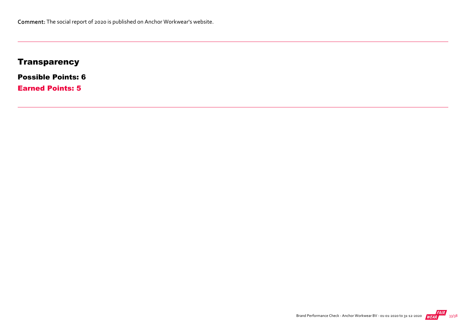#### **Transparency**

Possible Points: 6

Earned Points: 5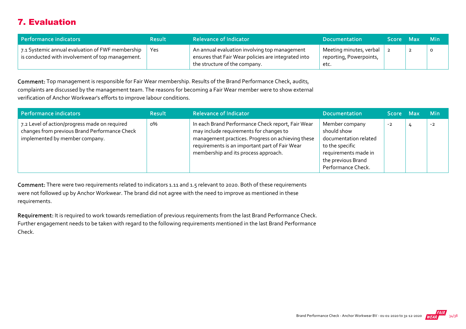#### 7. Evaluation

| Performance indicators                                                                               | <b>Result</b> | <b>Relevance of Indicator</b>                                                                                                         | <b>Documentation</b>                                       | <b>Score</b> | - Max | - Min   |
|------------------------------------------------------------------------------------------------------|---------------|---------------------------------------------------------------------------------------------------------------------------------------|------------------------------------------------------------|--------------|-------|---------|
| 7.1 Systemic annual evaluation of FWF membership<br>is conducted with involvement of top management. | Yes           | An annual evaluation involving top management<br>ensures that Fair Wear policies are integrated into<br>the structure of the company. | Meeting minutes, verbal<br>reporting, Powerpoints,<br>etc. |              |       | $\circ$ |

Comment: Top management is responsible for Fair Wear membership. Results of the Brand Performance Check, audits, complaints are discussed by the management team. The reasons for becoming a Fair Wear member were to show external verification of Anchor Workwear's efforts to improve labour conditions.

| Performance indicators                                                                                                           | <b>Result</b> | <b>Relevance of Indicator</b>                                                                                                                                                                                                               | <b>Documentation</b>                                                                                                                          | Score Max | <b>Min</b> |
|----------------------------------------------------------------------------------------------------------------------------------|---------------|---------------------------------------------------------------------------------------------------------------------------------------------------------------------------------------------------------------------------------------------|-----------------------------------------------------------------------------------------------------------------------------------------------|-----------|------------|
| 7.2 Level of action/progress made on required<br>changes from previous Brand Performance Check<br>implemented by member company. | о%            | In each Brand Performance Check report, Fair Wear<br>may include requirements for changes to<br>management practices. Progress on achieving these<br>requirements is an important part of Fair Wear<br>membership and its process approach. | Member company<br>should show<br>documentation related<br>to the specific<br>requirements made in<br>the previous Brand<br>Performance Check. | $-2$      | $-2$       |

Comment: There were two requirements related to indicators 1.11 and 1.5 relevant to 2020. Both of these requirements were not followed up by Anchor Workwear. The brand did not agree with the need to improve as mentioned in these requirements.

Requirement: It is required to work towards remediation of previous requirements from the last Brand Performance Check. Further engagement needs to be taken with regard to the following requirements mentioned in the last Brand Performance Check.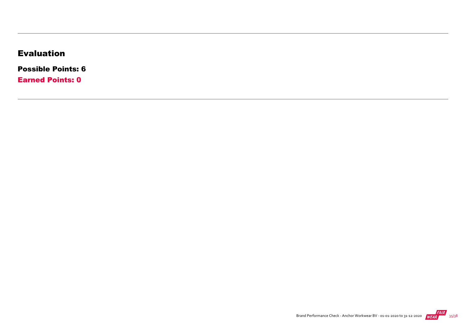#### Evaluation

Possible Points: 6

Earned Points: 0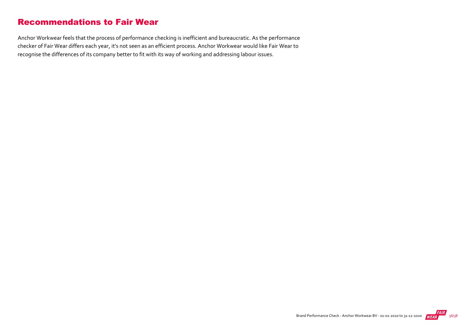#### Recommendations to Fair Wear

Anchor Workwear feels that the process of performance checking is inefficient and bureaucratic. As the performance checker of Fair Wear differs each year, it's not seen as an efficient process. Anchor Workwear would like Fair Wear to recognise the differences of its company better to fit with its way of working and addressing labour issues.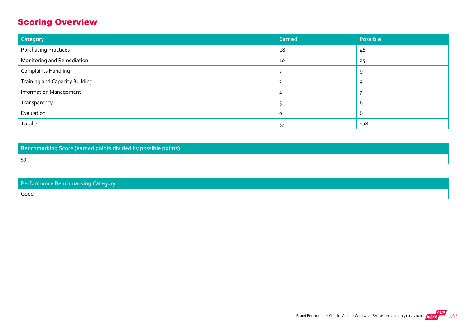#### Scoring Overview

53

| Category                              | <b>Earned</b> | Possible |
|---------------------------------------|---------------|----------|
| <b>Purchasing Practices</b>           | 28            | 46       |
| Monitoring and Remediation            | 10            | 25       |
| <b>Complaints Handling</b>            |               | 9        |
| <b>Training and Capacity Building</b> |               | Q        |
| <b>Information Management</b>         |               |          |
| Transparency                          |               | b        |
| Evaluation                            | $\Omega$      | ь        |
| Totals:                               | 57            | 108      |

Benchmarking Score (earned points divided by possible points)

Performance Benchmarking Category Good